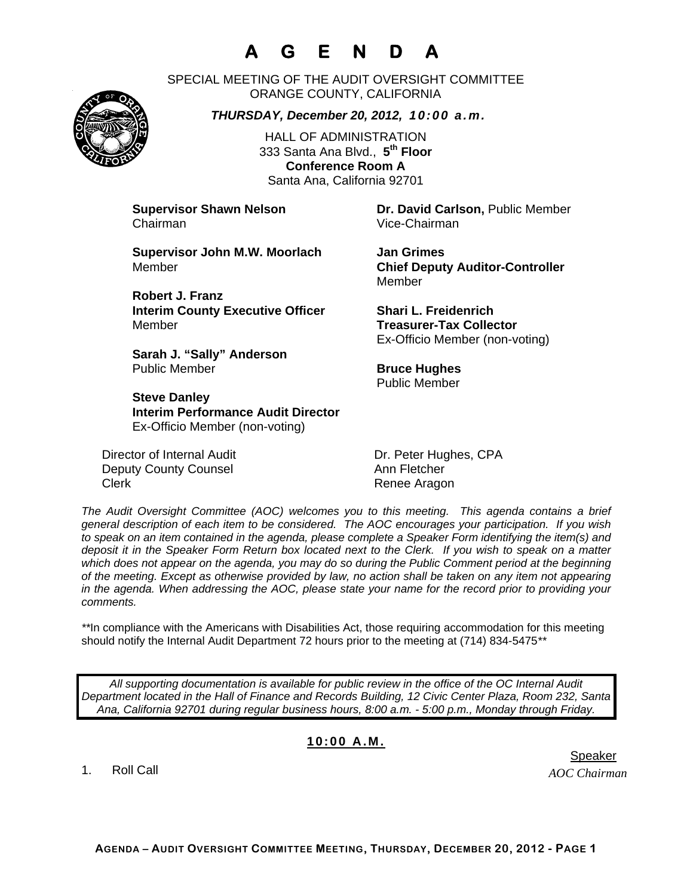# **A G E N D A**

SPECIAL MEETING OF THE AUDIT OVERSIGHT COMMITTEE ORANGE COUNTY, CALIFORNIA

*THURSDAY, December 20, 2012, 10:00 a.m.*

HALL OF ADMINISTRATION 333 Santa Ana Blvd., **5th Floor Conference Room A**  Santa Ana, California 92701

Chairman Vice-Chairman

**Supervisor Shawn Nelson Dr. David Carlson,** Public Member

**Supervisor John M.W. Moorlach Jan Grimes**  Member **Chief Deputy Auditor-Controller** 

**Robert J. Franz Interim County Executive Officer Shari L. Freidenrich**  Member **Treasurer-Tax Collector** 

**Sarah J. "Sally" Anderson Public Member <b>Bruce Hughes Bruce Hughes** 

**Steve Danley Interim Performance Audit Director**  Ex-Officio Member (non-voting)

Director of Internal Audit Dr. Peter Hughes, CPA Deputy County Counsel **Annihilation** Ann Fletcher Clerk **Clerk** Renee Aragon

Member

Ex-Officio Member (non-voting)

Public Member

*The Audit Oversight Committee (AOC) welcomes you to this meeting. This agenda contains a brief general description of each item to be considered. The AOC encourages your participation. If you wish to speak on an item contained in the agenda, please complete a Speaker Form identifying the item(s) and deposit it in the Speaker Form Return box located next to the Clerk. If you wish to speak on a matter which does not appear on the agenda, you may do so during the Public Comment period at the beginning of the meeting. Except as otherwise provided by law, no action shall be taken on any item not appearing in the agenda. When addressing the AOC, please state your name for the record prior to providing your comments.* 

\*\*In compliance with the Americans with Disabilities Act, those requiring accommodation for this meeting should notify the Internal Audit Department 72 hours prior to the meeting at (714) 834-5475*\*\** 

*All supporting documentation is available for public review in the office of the OC Internal Audit Department located in the Hall of Finance and Records Building, 12 Civic Center Plaza, Room 232, Santa Ana, California 92701 during regular business hours, 8:00 a.m. - 5:00 p.m., Monday through Friday.* 

#### **10:00 A.M.**

1. Roll Call

*AOC Chairman*  er in de staat de bestiet in de staat de bestiet in de bestiet in de bestiet in de bestiet in de staat de staa